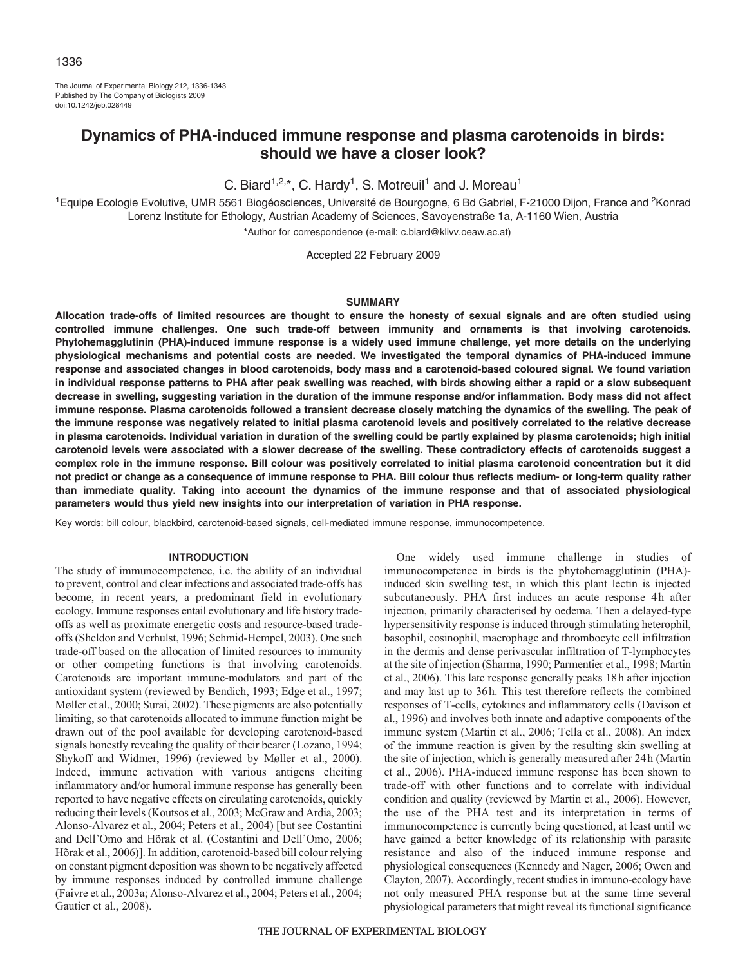# 1336

The Journal of Experimental Biology 212, 1336-1343 Published by The Company of Biologists 2009 doi:10.1242/jeb.028449

# **Dynamics of PHA-induced immune response and plasma carotenoids in birds: should we have a closer look?**

C. Biard<sup>1,2,\*</sup>, C. Hardy<sup>1</sup>, S. Motreuil<sup>1</sup> and J. Moreau<sup>1</sup>

<sup>1</sup>Equipe Ecologie Evolutive, UMR 5561 Biogéosciences, Université de Bourgogne, 6 Bd Gabriel, F-21000 Dijon, France and <sup>2</sup>Konrad Lorenz Institute for Ethology, Austrian Academy of Sciences, Savoyenstraße 1a, A-1160 Wien, Austria **\***Author for correspondence (e-mail: c.biard@klivv.oeaw.ac.at)

Accepted 22 February 2009

# **SUMMARY**

**Allocation trade-offs of limited resources are thought to ensure the honesty of sexual signals and are often studied using controlled immune challenges. One such trade-off between immunity and ornaments is that involving carotenoids. Phytohemagglutinin (PHA)-induced immune response is a widely used immune challenge, yet more details on the underlying physiological mechanisms and potential costs are needed. We investigated the temporal dynamics of PHA-induced immune response and associated changes in blood carotenoids, body mass and a carotenoid-based coloured signal. We found variation in individual response patterns to PHA after peak swelling was reached, with birds showing either a rapid or a slow subsequent decrease in swelling, suggesting variation in the duration of the immune response and/or inflammation. Body mass did not affect immune response. Plasma carotenoids followed a transient decrease closely matching the dynamics of the swelling. The peak of the immune response was negatively related to initial plasma carotenoid levels and positively correlated to the relative decrease in plasma carotenoids. Individual variation in duration of the swelling could be partly explained by plasma carotenoids; high initial carotenoid levels were associated with a slower decrease of the swelling. These contradictory effects of carotenoids suggest a complex role in the immune response. Bill colour was positively correlated to initial plasma carotenoid concentration but it did not predict or change as a consequence of immune response to PHA. Bill colour thus reflects medium- or long-term quality rather than immediate quality. Taking into account the dynamics of the immune response and that of associated physiological parameters would thus yield new insights into our interpretation of variation in PHA response.**

Key words: bill colour, blackbird, carotenoid-based signals, cell-mediated immune response, immunocompetence.

### **INTRODUCTION**

The study of immunocompetence, i.e. the ability of an individual to prevent, control and clear infections and associated trade-offs has become, in recent years, a predominant field in evolutionary ecology. Immune responses entail evolutionary and life history tradeoffs as well as proximate energetic costs and resource-based tradeoffs (Sheldon and Verhulst, 1996; Schmid-Hempel, 2003). One such trade-off based on the allocation of limited resources to immunity or other competing functions is that involving carotenoids. Carotenoids are important immune-modulators and part of the antioxidant system (reviewed by Bendich, 1993; Edge et al., 1997; Møller et al., 2000; Surai, 2002). These pigments are also potentially limiting, so that carotenoids allocated to immune function might be drawn out of the pool available for developing carotenoid-based signals honestly revealing the quality of their bearer (Lozano, 1994; Shykoff and Widmer, 1996) (reviewed by Møller et al., 2000). Indeed, immune activation with various antigens eliciting inflammatory and/or humoral immune response has generally been reported to have negative effects on circulating carotenoids, quickly reducing their levels (Koutsos et al., 2003; McGraw and Ardia, 2003; Alonso-Alvarez et al., 2004; Peters et al., 2004) [but see Costantini and Dell'Omo and Hõrak et al. (Costantini and Dell'Omo, 2006; Hõrak et al., 2006)]. In addition, carotenoid-based bill colour relying on constant pigment deposition was shown to be negatively affected by immune responses induced by controlled immune challenge (Faivre et al., 2003a; Alonso-Alvarez et al., 2004; Peters et al., 2004; Gautier et al., 2008).

One widely used immune challenge in studies of immunocompetence in birds is the phytohemagglutinin (PHA) induced skin swelling test, in which this plant lectin is injected subcutaneously. PHA first induces an acute response 4h after injection, primarily characterised by oedema. Then a delayed-type hypersensitivity response is induced through stimulating heterophil, basophil, eosinophil, macrophage and thrombocyte cell infiltration in the dermis and dense perivascular infiltration of T-lymphocytes at the site of injection (Sharma, 1990; Parmentier et al., 1998; Martin et al., 2006). This late response generally peaks 18h after injection and may last up to 36h. This test therefore reflects the combined responses of T-cells, cytokines and inflammatory cells (Davison et al., 1996) and involves both innate and adaptive components of the immune system (Martin et al., 2006; Tella et al., 2008). An index of the immune reaction is given by the resulting skin swelling at the site of injection, which is generally measured after 24h (Martin et al., 2006). PHA-induced immune response has been shown to trade-off with other functions and to correlate with individual condition and quality (reviewed by Martin et al., 2006). However, the use of the PHA test and its interpretation in terms of immunocompetence is currently being questioned, at least until we have gained a better knowledge of its relationship with parasite resistance and also of the induced immune response and physiological consequences (Kennedy and Nager, 2006; Owen and Clayton, 2007). Accordingly, recent studies in immuno-ecology have not only measured PHA response but at the same time several physiological parameters that might reveal its functional significance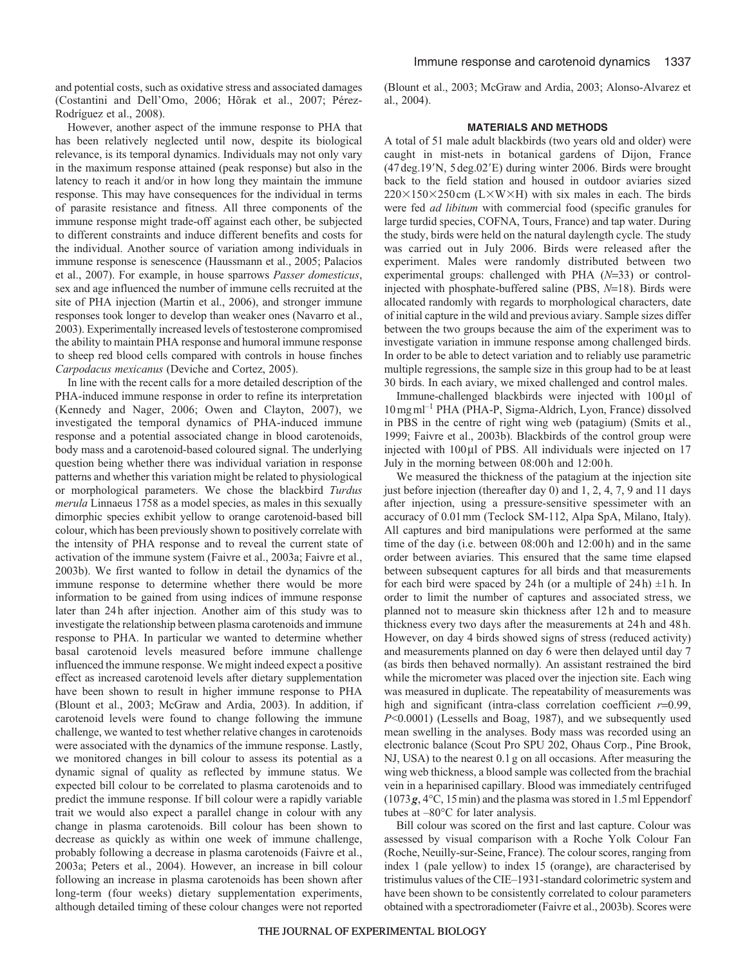and potential costs, such as oxidative stress and associated damages (Costantini and Dell'Omo, 2006; Hõrak et al., 2007; Pérez-Rodríguez et al., 2008).

However, another aspect of the immune response to PHA that has been relatively neglected until now, despite its biological relevance, is its temporal dynamics. Individuals may not only vary in the maximum response attained (peak response) but also in the latency to reach it and/or in how long they maintain the immune response. This may have consequences for the individual in terms of parasite resistance and fitness. All three components of the immune response might trade-off against each other, be subjected to different constraints and induce different benefits and costs for the individual. Another source of variation among individuals in immune response is senescence (Haussmann et al., 2005; Palacios et al., 2007). For example, in house sparrows *Passer domesticus*, sex and age influenced the number of immune cells recruited at the site of PHA injection (Martin et al., 2006), and stronger immune responses took longer to develop than weaker ones (Navarro et al., 2003). Experimentally increased levels of testosterone compromised the ability to maintain PHA response and humoral immune response to sheep red blood cells compared with controls in house finches *Carpodacus mexicanus* (Deviche and Cortez, 2005).

In line with the recent calls for a more detailed description of the PHA-induced immune response in order to refine its interpretation (Kennedy and Nager, 2006; Owen and Clayton, 2007), we investigated the temporal dynamics of PHA-induced immune response and a potential associated change in blood carotenoids, body mass and a carotenoid-based coloured signal. The underlying question being whether there was individual variation in response patterns and whether this variation might be related to physiological or morphological parameters. We chose the blackbird *Turdus merula* Linnaeus 1758 as a model species, as males in this sexually dimorphic species exhibit yellow to orange carotenoid-based bill colour, which has been previously shown to positively correlate with the intensity of PHA response and to reveal the current state of activation of the immune system (Faivre et al., 2003a; Faivre et al., 2003b). We first wanted to follow in detail the dynamics of the immune response to determine whether there would be more information to be gained from using indices of immune response later than 24h after injection. Another aim of this study was to investigate the relationship between plasma carotenoids and immune response to PHA. In particular we wanted to determine whether basal carotenoid levels measured before immune challenge influenced the immune response. We might indeed expect a positive effect as increased carotenoid levels after dietary supplementation have been shown to result in higher immune response to PHA (Blount et al., 2003; McGraw and Ardia, 2003). In addition, if carotenoid levels were found to change following the immune challenge, we wanted to test whether relative changes in carotenoids were associated with the dynamics of the immune response. Lastly, we monitored changes in bill colour to assess its potential as a dynamic signal of quality as reflected by immune status. We expected bill colour to be correlated to plasma carotenoids and to predict the immune response. If bill colour were a rapidly variable trait we would also expect a parallel change in colour with any change in plasma carotenoids. Bill colour has been shown to decrease as quickly as within one week of immune challenge, probably following a decrease in plasma carotenoids (Faivre et al., 2003a; Peters et al., 2004). However, an increase in bill colour following an increase in plasma carotenoids has been shown after long-term (four weeks) dietary supplementation experiments, although detailed timing of these colour changes were not reported

(Blount et al., 2003; McGraw and Ardia, 2003; Alonso-Alvarez et al., 2004).

## **MATERIALS AND METHODS**

A total of 51 male adult blackbirds (two years old and older) were caught in mist-nets in botanical gardens of Dijon, France (47 deg.19'N, 5 deg.02'E) during winter 2006. Birds were brought back to the field station and housed in outdoor aviaries sized  $220\times150\times250$  cm (L $\times$ W $\times$ H) with six males in each. The birds were fed *ad libitum* with commercial food (specific granules for large turdid species, COFNA, Tours, France) and tap water. During the study, birds were held on the natural daylength cycle. The study was carried out in July 2006. Birds were released after the experiment. Males were randomly distributed between two experimental groups: challenged with PHA (*N*=33) or controlinjected with phosphate-buffered saline (PBS, *N*=18). Birds were allocated randomly with regards to morphological characters, date of initial capture in the wild and previous aviary. Sample sizes differ between the two groups because the aim of the experiment was to investigate variation in immune response among challenged birds. In order to be able to detect variation and to reliably use parametric multiple regressions, the sample size in this group had to be at least 30 birds. In each aviary, we mixed challenged and control males.

Immune-challenged blackbirds were injected with 100μl of 10mgml–1 PHA (PHA-P, Sigma-Aldrich, Lyon, France) dissolved in PBS in the centre of right wing web (patagium) (Smits et al., 1999; Faivre et al., 2003b). Blackbirds of the control group were injected with 100μl of PBS. All individuals were injected on 17 July in the morning between 08:00h and 12:00h.

We measured the thickness of the patagium at the injection site just before injection (thereafter day 0) and 1, 2, 4, 7, 9 and 11 days after injection, using a pressure-sensitive spessimeter with an accuracy of 0.01mm (Teclock SM-112, Alpa SpA, Milano, Italy). All captures and bird manipulations were performed at the same time of the day (i.e. between 08:00h and 12:00h) and in the same order between aviaries. This ensured that the same time elapsed between subsequent captures for all birds and that measurements for each bird were spaced by 24h (or a multiple of  $24h$ )  $\pm 1h$ . In order to limit the number of captures and associated stress, we planned not to measure skin thickness after 12h and to measure thickness every two days after the measurements at 24h and 48h. However, on day 4 birds showed signs of stress (reduced activity) and measurements planned on day 6 were then delayed until day 7 (as birds then behaved normally). An assistant restrained the bird while the micrometer was placed over the injection site. Each wing was measured in duplicate. The repeatability of measurements was high and significant (intra-class correlation coefficient  $r=0.99$ , *P*<0.0001) (Lessells and Boag, 1987), and we subsequently used mean swelling in the analyses. Body mass was recorded using an electronic balance (Scout Pro SPU 202, Ohaus Corp., Pine Brook, NJ, USA) to the nearest 0.1g on all occasions. After measuring the wing web thickness, a blood sample was collected from the brachial vein in a heparinised capillary. Blood was immediately centrifuged (1073*g*, 4°C, 15min) and the plasma was stored in 1.5ml Eppendorf tubes at –80°C for later analysis.

Bill colour was scored on the first and last capture. Colour was assessed by visual comparison with a Roche Yolk Colour Fan (Roche, Neuilly-sur-Seine, France). The colour scores, ranging from index 1 (pale yellow) to index 15 (orange), are characterised by tristimulus values of the CIE–1931-standard colorimetric system and have been shown to be consistently correlated to colour parameters obtained with a spectroradiometer (Faivre et al., 2003b). Scores were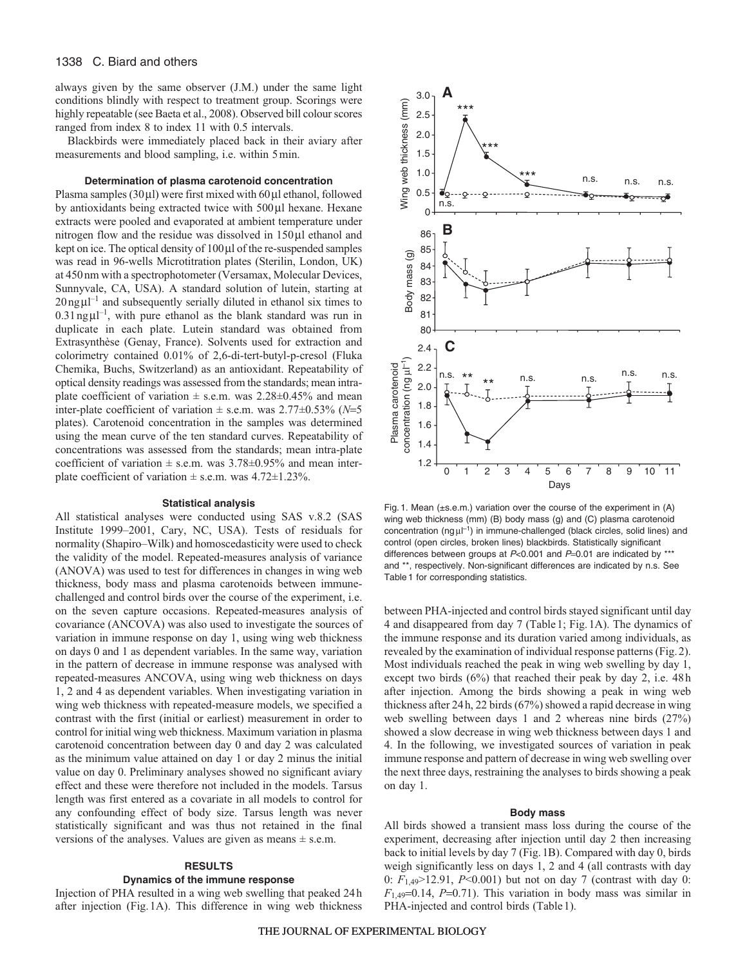# 1338 C. Biard and others

always given by the same observer (J.M.) under the same light conditions blindly with respect to treatment group. Scorings were highly repeatable (see Baeta et al., 2008). Observed bill colour scores ranged from index 8 to index 11 with 0.5 intervals.

Blackbirds were immediately placed back in their aviary after measurements and blood sampling, i.e. within 5min.

# **Determination of plasma carotenoid concentration**

Plasma samples (30μl) were first mixed with 60μl ethanol, followed by antioxidants being extracted twice with 500μl hexane. Hexane extracts were pooled and evaporated at ambient temperature under nitrogen flow and the residue was dissolved in 150μl ethanol and kept on ice. The optical density of 100μl of the re-suspended samples was read in 96-wells Microtitration plates (Sterilin, London, UK) at 450nm with a spectrophotometer (Versamax, Molecular Devices, Sunnyvale, CA, USA). A standard solution of lutein, starting at  $20$ ng $\mu$ l<sup>-1</sup> and subsequently serially diluted in ethanol six times to  $0.31$ ng $\mu$ l<sup>-1</sup>, with pure ethanol as the blank standard was run in duplicate in each plate. Lutein standard was obtained from Extrasynthèse (Genay, France). Solvents used for extraction and colorimetry contained 0.01% of 2,6-di-tert-butyl-p-cresol (Fluka Chemika, Buchs, Switzerland) as an antioxidant. Repeatability of optical density readings was assessed from the standards; mean intraplate coefficient of variation  $\pm$  s.e.m. was 2.28 $\pm$ 0.45% and mean inter-plate coefficient of variation  $\pm$  s.e.m. was 2.77 $\pm$ 0.53% (*N*=5 plates). Carotenoid concentration in the samples was determined using the mean curve of the ten standard curves. Repeatability of concentrations was assessed from the standards; mean intra-plate coefficient of variation  $\pm$  s.e.m. was 3.78 $\pm$ 0.95% and mean interplate coefficient of variation  $\pm$  s.e.m. was 4.72 $\pm$ 1.23%.

## **Statistical analysis**

All statistical analyses were conducted using SAS v.8.2 (SAS Institute 1999–2001, Cary, NC, USA). Tests of residuals for normality (Shapiro–Wilk) and homoscedasticity were used to check the validity of the model. Repeated-measures analysis of variance (ANOVA) was used to test for differences in changes in wing web thickness, body mass and plasma carotenoids between immunechallenged and control birds over the course of the experiment, i.e. on the seven capture occasions. Repeated-measures analysis of covariance (ANCOVA) was also used to investigate the sources of variation in immune response on day 1, using wing web thickness on days 0 and 1 as dependent variables. In the same way, variation in the pattern of decrease in immune response was analysed with repeated-measures ANCOVA, using wing web thickness on days 1, 2 and 4 as dependent variables. When investigating variation in wing web thickness with repeated-measure models, we specified a contrast with the first (initial or earliest) measurement in order to control for initial wing web thickness. Maximum variation in plasma carotenoid concentration between day 0 and day 2 was calculated as the minimum value attained on day 1 or day 2 minus the initial value on day 0. Preliminary analyses showed no significant aviary effect and these were therefore not included in the models. Tarsus length was first entered as a covariate in all models to control for any confounding effect of body size. Tarsus length was never statistically significant and was thus not retained in the final versions of the analyses. Values are given as means  $\pm$  s.e.m.

#### **RESULTS**

## **Dynamics of the immune response**

Injection of PHA resulted in a wing web swelling that peaked 24h after injection (Fig.1A). This difference in wing web thickness



Fig. 1. Mean (±s.e.m.) variation over the course of the experiment in (A) wing web thickness (mm) (B) body mass (g) and (C) plasma carotenoid concentration (ng μl<sup>-1</sup>) in immune-challenged (black circles, solid lines) and control (open circles, broken lines) blackbirds. Statistically significant differences between groups at  $P<0.001$  and  $P=0.01$  are indicated by \*\*\* and \*\*, respectively. Non-significant differences are indicated by n.s. See Table 1 for corresponding statistics.

between PHA-injected and control birds stayed significant until day 4 and disappeared from day 7 (Table1; Fig.1A). The dynamics of the immune response and its duration varied among individuals, as revealed by the examination of individual response patterns (Fig.2). Most individuals reached the peak in wing web swelling by day 1, except two birds (6%) that reached their peak by day 2, i.e. 48h after injection. Among the birds showing a peak in wing web thickness after 24h, 22 birds (67%) showed a rapid decrease in wing web swelling between days 1 and 2 whereas nine birds (27%) showed a slow decrease in wing web thickness between days 1 and 4. In the following, we investigated sources of variation in peak immune response and pattern of decrease in wing web swelling over the next three days, restraining the analyses to birds showing a peak on day 1.

## **Body mass**

All birds showed a transient mass loss during the course of the experiment, decreasing after injection until day 2 then increasing back to initial levels by day 7 (Fig.1B). Compared with day 0, birds weigh significantly less on days 1, 2 and 4 (all contrasts with day 0: *F*1,49>12.91, *P*<0.001) but not on day 7 (contrast with day 0:  $F_{1,49}=0.14$ ,  $P=0.71$ ). This variation in body mass was similar in PHA-injected and control birds (Table 1).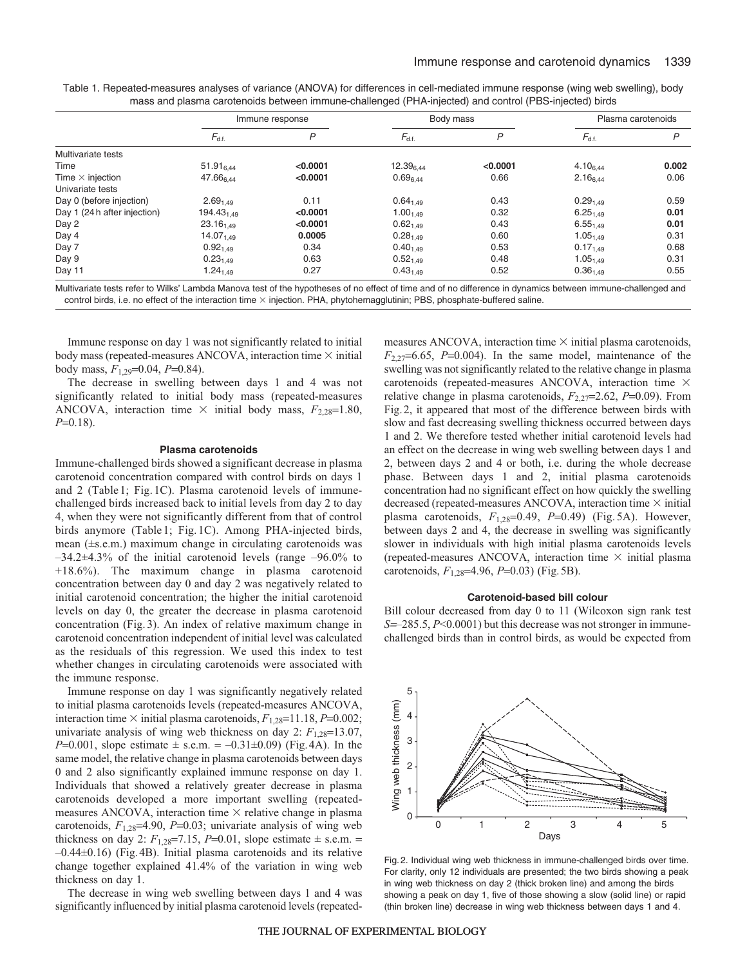|                              | Immune response       |          | Body mass      |          | Plasma carotenoids |       |
|------------------------------|-----------------------|----------|----------------|----------|--------------------|-------|
|                              | $F_{d.f.}$            | P        | $F_{d.f.}$     | P        | $F_{d.f.}$         | P     |
| Multivariate tests           |                       |          |                |          |                    |       |
| Time                         | $51.91_{6.44}$        | < 0.0001 | $12.39_{6.44}$ | < 0.0001 | $4.10_{6.44}$      | 0.002 |
| Time $\times$ injection      | 47.666.44             | < 0.0001 | $0.69_{6.44}$  | 0.66     | $2.16_{6.44}$      | 0.06  |
| Univariate tests             |                       |          |                |          |                    |       |
| Day 0 (before injection)     | $2.69_{1.49}$         | 0.11     | $0.64_{1.49}$  | 0.43     | $0.29_{1.49}$      | 0.59  |
| Day 1 (24 h after injection) | $194.43_{1.49}$       | < 0.0001 | $1.00_{1.49}$  | 0.32     | $6.25_{1.49}$      | 0.01  |
| Day 2                        | $23.16_{1.49}$        | < 0.0001 | $0.62_{1.49}$  | 0.43     | $6.55_{1.49}$      | 0.01  |
| Day 4                        | 14.07 <sub>1.49</sub> | 0.0005   | $0.28_{1.49}$  | 0.60     | $1.05_{1.49}$      | 0.31  |
| Day 7                        | $0.92_{1.49}$         | 0.34     | $0.40_{1.49}$  | 0.53     | $0.17_{1.49}$      | 0.68  |
| Day 9                        | $0.23_{1.49}$         | 0.63     | $0.52_{1.49}$  | 0.48     | $1.05_{1.49}$      | 0.31  |
| Day 11                       | 1.24 <sub>1.49</sub>  | 0.27     | $0.43_{1.49}$  | 0.52     | $0.36_{1.49}$      | 0.55  |

Table 1. Repeated-measures analyses of variance (ANOVA) for differences in cell-mediated immune response (wing web swelling), body mass and plasma carotenoids between immune-challenged (PHA-injected) and control (PBS-injected) birds

Multivariate tests refer to Wilks' Lambda Manova test of the hypotheses of no effect of time and of no difference in dynamics between immune-challenged and control birds, i.e. no effect of the interaction time  $\times$  injection. PHA, phytohemagglutinin; PBS, phosphate-buffered saline.

Immune response on day 1 was not significantly related to initial body mass (repeated-measures ANCOVA, interaction time  $\times$  initial body mass, *F*1,29=0.04, *P*=0.84).

The decrease in swelling between days 1 and 4 was not significantly related to initial body mass (repeated-measures ANCOVA, interaction time  $\times$  initial body mass,  $F_{2,28}=1.80$ , *P*=0.18).

#### **Plasma carotenoids**

Immune-challenged birds showed a significant decrease in plasma carotenoid concentration compared with control birds on days 1 and 2 (Table1; Fig.1C). Plasma carotenoid levels of immunechallenged birds increased back to initial levels from day 2 to day 4, when they were not significantly different from that of control birds anymore (Table1; Fig.1C). Among PHA-injected birds, mean (±s.e.m.) maximum change in circulating carotenoids was  $-34.2\pm4.3\%$  of the initial carotenoid levels (range  $-96.0\%$  to +18.6%). The maximum change in plasma carotenoid concentration between day 0 and day 2 was negatively related to initial carotenoid concentration; the higher the initial carotenoid levels on day 0, the greater the decrease in plasma carotenoid concentration (Fig.3). An index of relative maximum change in carotenoid concentration independent of initial level was calculated as the residuals of this regression. We used this index to test whether changes in circulating carotenoids were associated with the immune response.

Immune response on day 1 was significantly negatively related to initial plasma carotenoids levels (repeated-measures ANCOVA, interaction time  $\times$  initial plasma carotenoids,  $F_{1,28}=11.18$ ,  $P=0.002$ ; univariate analysis of wing web thickness on day 2:  $F_{1,28}=13.07$ , *P*=0.001, slope estimate  $\pm$  s.e.m. = -0.31 $\pm$ 0.09) (Fig. 4A). In the same model, the relative change in plasma carotenoids between days 0 and 2 also significantly explained immune response on day 1. Individuals that showed a relatively greater decrease in plasma carotenoids developed a more important swelling (repeatedmeasures ANCOVA, interaction time  $\times$  relative change in plasma carotenoids,  $F_{1,28}$ =4.90,  $P$ =0.03; univariate analysis of wing web thickness on day 2:  $F_{1,28}$ =7.15, *P*=0.01, slope estimate  $\pm$  s.e.m. = –0.44±0.16) (Fig.4B). Initial plasma carotenoids and its relative change together explained 41.4% of the variation in wing web thickness on day 1.

The decrease in wing web swelling between days 1 and 4 was significantly influenced by initial plasma carotenoid levels (repeatedmeasures ANCOVA, interaction time  $\times$  initial plasma carotenoids,  $F_{2,27}=6.65$ ,  $P=0.004$ ). In the same model, maintenance of the swelling was not significantly related to the relative change in plasma carotenoids (repeated-measures ANCOVA, interaction time  $\times$ relative change in plasma carotenoids,  $F_{2,27}=2.62$ ,  $P=0.09$ ). From Fig.2, it appeared that most of the difference between birds with slow and fast decreasing swelling thickness occurred between days 1 and 2. We therefore tested whether initial carotenoid levels had an effect on the decrease in wing web swelling between days 1 and 2, between days 2 and 4 or both, i.e. during the whole decrease phase. Between days 1 and 2, initial plasma carotenoids concentration had no significant effect on how quickly the swelling decreased (repeated-measures ANCOVA, interaction time  $\times$  initial plasma carotenoids, *F*1,28=0.49, *P*=0.49) (Fig. 5A). However, between days 2 and 4, the decrease in swelling was significantly slower in individuals with high initial plasma carotenoids levels (repeated-measures ANCOVA, interaction time  $\times$  initial plasma carotenoids, *F*1,28=4.96, *P*=0.03) (Fig.5B).

#### **Carotenoid-based bill colour**

Bill colour decreased from day 0 to 11 (Wilcoxon sign rank test *S*=–285.5, *P*<0.0001) but this decrease was not stronger in immunechallenged birds than in control birds, as would be expected from



Fig. 2. Individual wing web thickness in immune-challenged birds over time. For clarity, only 12 individuals are presented; the two birds showing a peak in wing web thickness on day 2 (thick broken line) and among the birds showing a peak on day 1, five of those showing a slow (solid line) or rapid (thin broken line) decrease in wing web thickness between days 1 and 4.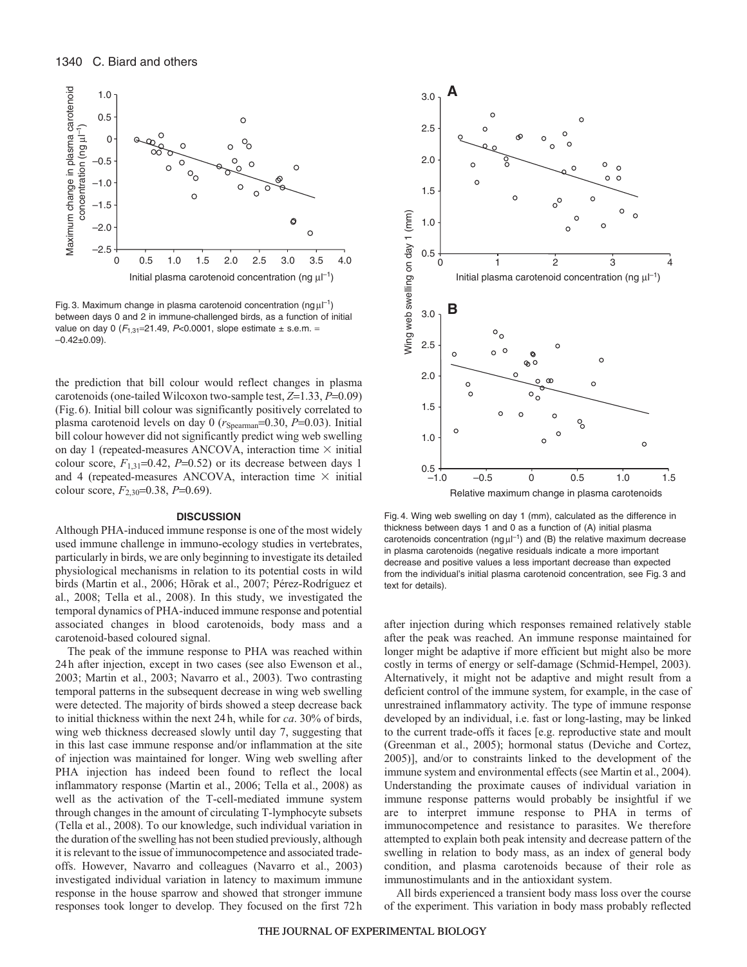

Fig. 3. Maximum change in plasma carotenoid concentration (ng $\mu$  $^{-1}$ ) between days 0 and 2 in immune-challenged birds, as a function of initial value on day 0 ( $F_{1,31}$ =21.49, P<0.0001, slope estimate  $\pm$  s.e.m. =  $-0.42+0.09$ ).

the prediction that bill colour would reflect changes in plasma carotenoids (one-tailed Wilcoxon two-sample test, *Z*=1.33, *P*=0.09) (Fig.6). Initial bill colour was significantly positively correlated to plasma carotenoid levels on day 0 ( $r_{Spearman}$ =0.30, *P*=0.03). Initial bill colour however did not significantly predict wing web swelling on day 1 (repeated-measures ANCOVA, interaction time  $\times$  initial colour score,  $F_{1,31}=0.42$ ,  $P=0.52$ ) or its decrease between days 1 and 4 (repeated-measures ANCOVA, interaction time  $\times$  initial colour score, *F*2,30=0.38, *P*=0.69).

## **DISCUSSION**

Although PHA-induced immune response is one of the most widely used immune challenge in immuno-ecology studies in vertebrates, particularly in birds, we are only beginning to investigate its detailed physiological mechanisms in relation to its potential costs in wild birds (Martin et al., 2006; Hõrak et al., 2007; Pérez-Rodríguez et al., 2008; Tella et al., 2008). In this study, we investigated the temporal dynamics of PHA-induced immune response and potential associated changes in blood carotenoids, body mass and a carotenoid-based coloured signal.

The peak of the immune response to PHA was reached within 24h after injection, except in two cases (see also Ewenson et al., 2003; Martin et al., 2003; Navarro et al., 2003). Two contrasting temporal patterns in the subsequent decrease in wing web swelling were detected. The majority of birds showed a steep decrease back to initial thickness within the next 24h, while for *ca*. 30% of birds, wing web thickness decreased slowly until day 7, suggesting that in this last case immune response and/or inflammation at the site of injection was maintained for longer. Wing web swelling after PHA injection has indeed been found to reflect the local inflammatory response (Martin et al., 2006; Tella et al., 2008) as well as the activation of the T-cell-mediated immune system through changes in the amount of circulating T-lymphocyte subsets (Tella et al., 2008). To our knowledge, such individual variation in the duration of the swelling has not been studied previously, although it is relevant to the issue of immunocompetence and associated tradeoffs. However, Navarro and colleagues (Navarro et al., 2003) investigated individual variation in latency to maximum immune response in the house sparrow and showed that stronger immune responses took longer to develop. They focused on the first 72h



Fig. 4. Wing web swelling on day 1 (mm), calculated as the difference in thickness between days 1 and 0 as a function of (A) initial plasma carotenoids concentration (ng  $\mu$  $^{-1}$ ) and (B) the relative maximum decrease in plasma carotenoids (negative residuals indicate a more important decrease and positive values a less important decrease than expected from the individual's initial plasma carotenoid concentration, see Fig. 3 and text for details).

after injection during which responses remained relatively stable after the peak was reached. An immune response maintained for longer might be adaptive if more efficient but might also be more costly in terms of energy or self-damage (Schmid-Hempel, 2003). Alternatively, it might not be adaptive and might result from a deficient control of the immune system, for example, in the case of unrestrained inflammatory activity. The type of immune response developed by an individual, i.e. fast or long-lasting, may be linked to the current trade-offs it faces [e.g. reproductive state and moult (Greenman et al., 2005); hormonal status (Deviche and Cortez, 2005)], and/or to constraints linked to the development of the immune system and environmental effects (see Martin et al., 2004). Understanding the proximate causes of individual variation in immune response patterns would probably be insightful if we are to interpret immune response to PHA in terms of immunocompetence and resistance to parasites. We therefore attempted to explain both peak intensity and decrease pattern of the swelling in relation to body mass, as an index of general body condition, and plasma carotenoids because of their role as immunostimulants and in the antioxidant system.

All birds experienced a transient body mass loss over the course of the experiment. This variation in body mass probably reflected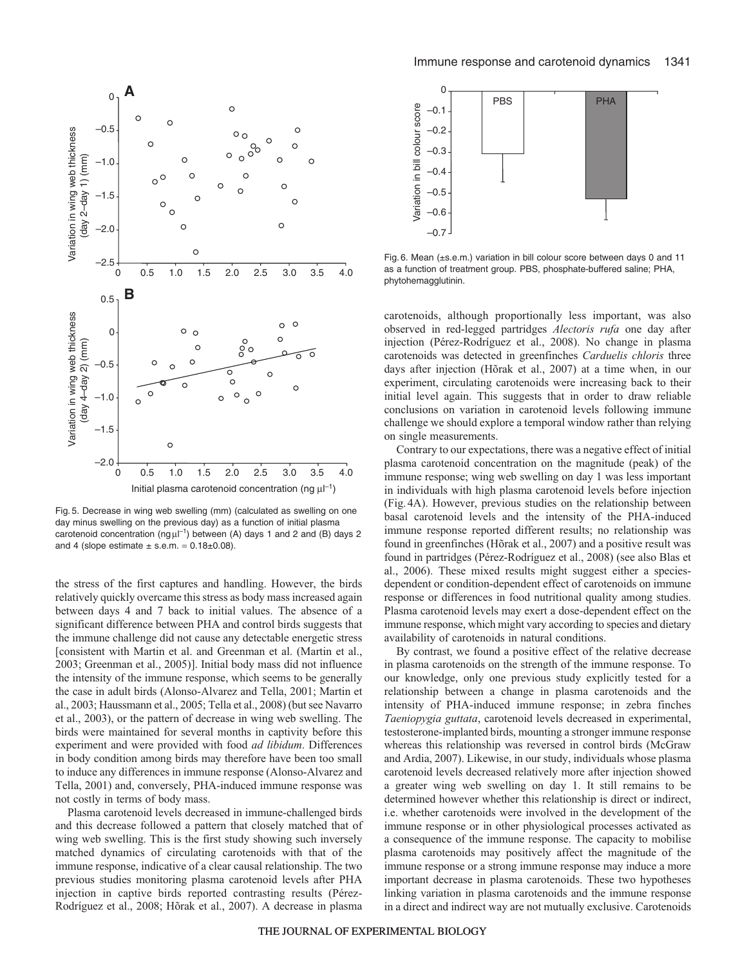

Fig. 5. Decrease in wing web swelling (mm) (calculated as swelling on one day minus swelling on the previous day) as a function of initial plasma carotenoid concentration (ng  $\mu$ <sup>-1</sup>) between (A) days 1 and 2 and (B) days 2 and 4 (slope estimate  $\pm$  s.e.m. = 0.18 $\pm$ 0.08).

the stress of the first captures and handling. However, the birds relatively quickly overcame this stress as body mass increased again between days 4 and 7 back to initial values. The absence of a significant difference between PHA and control birds suggests that the immune challenge did not cause any detectable energetic stress [consistent with Martin et al. and Greenman et al. (Martin et al., 2003; Greenman et al., 2005)]. Initial body mass did not influence the intensity of the immune response, which seems to be generally the case in adult birds (Alonso-Alvarez and Tella, 2001; Martin et al., 2003; Haussmann et al., 2005; Tella et al., 2008) (but see Navarro et al., 2003), or the pattern of decrease in wing web swelling. The birds were maintained for several months in captivity before this experiment and were provided with food *ad libidum*. Differences in body condition among birds may therefore have been too small to induce any differences in immune response (Alonso-Alvarez and Tella, 2001) and, conversely, PHA-induced immune response was not costly in terms of body mass.

Plasma carotenoid levels decreased in immune-challenged birds and this decrease followed a pattern that closely matched that of wing web swelling. This is the first study showing such inversely matched dynamics of circulating carotenoids with that of the immune response, indicative of a clear causal relationship. The two previous studies monitoring plasma carotenoid levels after PHA injection in captive birds reported contrasting results (Pérez-Rodríguez et al., 2008; Hõrak et al., 2007). A decrease in plasma



Fig. 6. Mean (±s.e.m.) variation in bill colour score between days 0 and 11 as a function of treatment group. PBS, phosphate-buffered saline; PHA, phytohemagglutinin.

carotenoids, although proportionally less important, was also observed in red-legged partridges *Alectoris rufa* one day after injection (Pérez-Rodríguez et al., 2008). No change in plasma carotenoids was detected in greenfinches *Carduelis chloris* three days after injection (Hõrak et al., 2007) at a time when, in our experiment, circulating carotenoids were increasing back to their initial level again. This suggests that in order to draw reliable conclusions on variation in carotenoid levels following immune challenge we should explore a temporal window rather than relying on single measurements.

Contrary to our expectations, there was a negative effect of initial plasma carotenoid concentration on the magnitude (peak) of the immune response; wing web swelling on day 1 was less important in individuals with high plasma carotenoid levels before injection (Fig.4A). However, previous studies on the relationship between basal carotenoid levels and the intensity of the PHA-induced immune response reported different results; no relationship was found in greenfinches (Hõrak et al., 2007) and a positive result was found in partridges (Pérez-Rodríguez et al., 2008) (see also Blas et al., 2006). These mixed results might suggest either a speciesdependent or condition-dependent effect of carotenoids on immune response or differences in food nutritional quality among studies. Plasma carotenoid levels may exert a dose-dependent effect on the immune response, which might vary according to species and dietary availability of carotenoids in natural conditions.

By contrast, we found a positive effect of the relative decrease in plasma carotenoids on the strength of the immune response. To our knowledge, only one previous study explicitly tested for a relationship between a change in plasma carotenoids and the intensity of PHA-induced immune response; in zebra finches *Taeniopygia guttata*, carotenoid levels decreased in experimental, testosterone-implanted birds, mounting a stronger immune response whereas this relationship was reversed in control birds (McGraw and Ardia, 2007). Likewise, in our study, individuals whose plasma carotenoid levels decreased relatively more after injection showed a greater wing web swelling on day 1. It still remains to be determined however whether this relationship is direct or indirect, i.e. whether carotenoids were involved in the development of the immune response or in other physiological processes activated as a consequence of the immune response. The capacity to mobilise plasma carotenoids may positively affect the magnitude of the immune response or a strong immune response may induce a more important decrease in plasma carotenoids. These two hypotheses linking variation in plasma carotenoids and the immune response in a direct and indirect way are not mutually exclusive. Carotenoids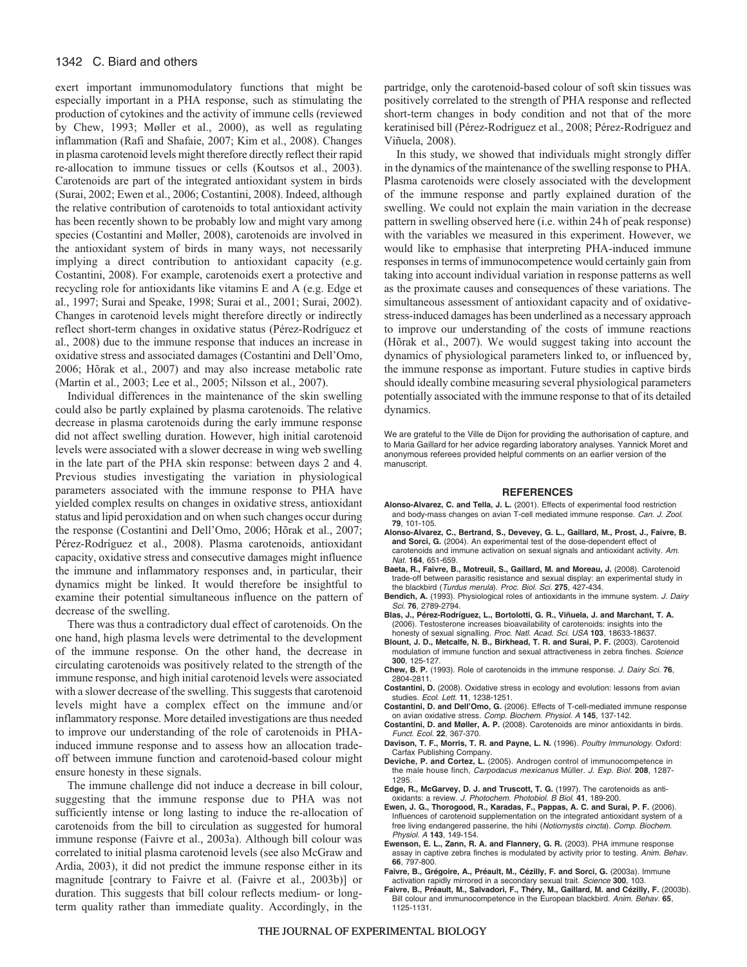# 1342 C. Biard and others

exert important immunomodulatory functions that might be especially important in a PHA response, such as stimulating the production of cytokines and the activity of immune cells (reviewed by Chew, 1993; Møller et al., 2000), as well as regulating inflammation (Rafi and Shafaie, 2007; Kim et al., 2008). Changes in plasma carotenoid levels might therefore directly reflect their rapid re-allocation to immune tissues or cells (Koutsos et al., 2003). Carotenoids are part of the integrated antioxidant system in birds (Surai, 2002; Ewen et al., 2006; Costantini, 2008). Indeed, although the relative contribution of carotenoids to total antioxidant activity has been recently shown to be probably low and might vary among species (Costantini and Møller, 2008), carotenoids are involved in the antioxidant system of birds in many ways, not necessarily implying a direct contribution to antioxidant capacity (e.g. Costantini, 2008). For example, carotenoids exert a protective and recycling role for antioxidants like vitamins E and A (e.g. Edge et al., 1997; Surai and Speake, 1998; Surai et al., 2001; Surai, 2002). Changes in carotenoid levels might therefore directly or indirectly reflect short-term changes in oxidative status (Pérez-Rodríguez et al., 2008) due to the immune response that induces an increase in oxidative stress and associated damages (Costantini and Dell'Omo, 2006; Hõrak et al., 2007) and may also increase metabolic rate (Martin et al., 2003; Lee et al., 2005; Nilsson et al., 2007).

Individual differences in the maintenance of the skin swelling could also be partly explained by plasma carotenoids. The relative decrease in plasma carotenoids during the early immune response did not affect swelling duration. However, high initial carotenoid levels were associated with a slower decrease in wing web swelling in the late part of the PHA skin response: between days 2 and 4. Previous studies investigating the variation in physiological parameters associated with the immune response to PHA have yielded complex results on changes in oxidative stress, antioxidant status and lipid peroxidation and on when such changes occur during the response (Costantini and Dell'Omo, 2006; Hõrak et al., 2007; Pérez-Rodríguez et al., 2008). Plasma carotenoids, antioxidant capacity, oxidative stress and consecutive damages might influence the immune and inflammatory responses and, in particular, their dynamics might be linked. It would therefore be insightful to examine their potential simultaneous influence on the pattern of decrease of the swelling.

There was thus a contradictory dual effect of carotenoids. On the one hand, high plasma levels were detrimental to the development of the immune response. On the other hand, the decrease in circulating carotenoids was positively related to the strength of the immune response, and high initial carotenoid levels were associated with a slower decrease of the swelling. This suggests that carotenoid levels might have a complex effect on the immune and/or inflammatory response. More detailed investigations are thus needed to improve our understanding of the role of carotenoids in PHAinduced immune response and to assess how an allocation tradeoff between immune function and carotenoid-based colour might ensure honesty in these signals.

The immune challenge did not induce a decrease in bill colour, suggesting that the immune response due to PHA was not sufficiently intense or long lasting to induce the re-allocation of carotenoids from the bill to circulation as suggested for humoral immune response (Faivre et al., 2003a). Although bill colour was correlated to initial plasma carotenoid levels (see also McGraw and Ardia, 2003), it did not predict the immune response either in its magnitude [contrary to Faivre et al. (Faivre et al., 2003b)] or duration. This suggests that bill colour reflects medium- or longterm quality rather than immediate quality. Accordingly, in the

partridge, only the carotenoid-based colour of soft skin tissues was positively correlated to the strength of PHA response and reflected short-term changes in body condition and not that of the more keratinised bill (Pérez-Rodríguez et al., 2008; Pérez-Rodríguez and Viñuela, 2008).

In this study, we showed that individuals might strongly differ in the dynamics of the maintenance of the swelling response to PHA. Plasma carotenoids were closely associated with the development of the immune response and partly explained duration of the swelling. We could not explain the main variation in the decrease pattern in swelling observed here (i.e. within 24h of peak response) with the variables we measured in this experiment. However, we would like to emphasise that interpreting PHA-induced immune responses in terms of immunocompetence would certainly gain from taking into account individual variation in response patterns as well as the proximate causes and consequences of these variations. The simultaneous assessment of antioxidant capacity and of oxidativestress-induced damages has been underlined as a necessary approach to improve our understanding of the costs of immune reactions (Hõrak et al., 2007). We would suggest taking into account the dynamics of physiological parameters linked to, or influenced by, the immune response as important. Future studies in captive birds should ideally combine measuring several physiological parameters potentially associated with the immune response to that of its detailed dynamics.

We are grateful to the Ville de Dijon for providing the authorisation of capture, and to Maria Gaillard for her advice regarding laboratory analyses. Yannick Moret and anonymous referees provided helpful comments on an earlier version of the manuscript.

#### **REFERENCES**

- **Alonso-Alvarez, C. and Tella, J. L.** (2001). Effects of experimental food restriction and body-mass changes on avian T-cell mediated immune response. Can. J. Zool. **79**, 101-105.
- **Alonso-Alvarez, C., Bertrand, S., Devevey, G. L., Gaillard, M., Prost, J., Faivre, B. and Sorci, G.** (2004). An experimental test of the dose-dependent effect of carotenoids and immune activation on sexual signals and antioxidant activity. Am. Nat. **164**, 651-659.
- **Baeta, R., Faivre, B., Motreuil, S., Gaillard, M. and Moreau, J.** (2008). Carotenoid trade-off between parasitic resistance and sexual display: an experimental study in the blackbird (Turdus merula). Proc. Biol. Sci. **275**, 427-434.
- **Bendich, A.** (1993). Physiological roles of antioxidants in the immune system. J. Dairy Sci. **76**, 2789-2794.
- **Blas, J., Pérez-Rodríguez, L., Bortolotti, G. R., Viñuela, J. and Marchant, T. A.** (2006). Testosterone increases bioavailability of carotenoids: insights into the honesty of sexual signalling. Proc. Natl. Acad. Sci. USA **103**, 18633-18637.
- **Blount, J. D., Metcalfe, N. B., Birkhead, T. R. and Surai, P. F.** (2003). Carotenoid modulation of immune function and sexual attractiveness in zebra finches. Science **300**, 125-127.
- **Chew, B. P.** (1993). Role of carotenoids in the immune response. J. Dairy Sci. **76**, 2804-2811.
- **Costantini, D.** (2008). Oxidative stress in ecology and evolution: lessons from avian studies. Ecol. Lett. **11**, 1238-1251.
- **Costantini, D. and Dell'Omo, G.** (2006). Effects of T-cell-mediated immune response on avian oxidative stress. Comp. Biochem. Physiol. A **145**, 137-142.
- **Costantini, D. and Møller, A. P.** (2008). Carotenoids are minor antioxidants in birds. Funct. Ecol. **22**, 367-370.
- **Davison, T. F., Morris, T. R. and Payne, L. N.** (1996). Poultry Immunology. Oxford: Carfax Publishing Company.
- **Deviche, P. and Cortez, L.** (2005). Androgen control of immunocompetence in the male house finch, Carpodacus mexicanus Müller. J. Exp. Biol. **208**, 1287- 1295.
- **Edge, R., McGarvey, D. J. and Truscott, T. G.** (1997). The carotenoids as antioxidants: a review. J. Photochem. Photobiol. B Biol. **41**, 189-200.
- **Ewen, J. G., Thorogood, R., Karadas, F., Pappas, A. C. and Surai, P. F.** (2006). Influences of carotenoid supplementation on the integrated antioxidant system of a free living endangered passerine, the hihi (Notiomystis cincta). Comp. Biochem. Physiol. A **143**, 149-154.
- **Ewenson, E. L., Zann, R. A. and Flannery, G. R.** (2003). PHA immune response assay in captive zebra finches is modulated by activity prior to testing. Anim. Behav. **66**, 797-800.
- **Faivre, B., Grégoire, A., Préault, M., Cézilly, F. and Sorci, G.** (2003a). Immune activation rapidly mirrored in a secondary sexual trait. Science **300**, 103.
- **Faivre, B., Préault, M., Salvadori, F., Théry, M., Gaillard, M. and Cézilly, F.** (2003b). Bill colour and immunocompetence in the European blackbird. Anim. Behav. **65**, 1125-1131.